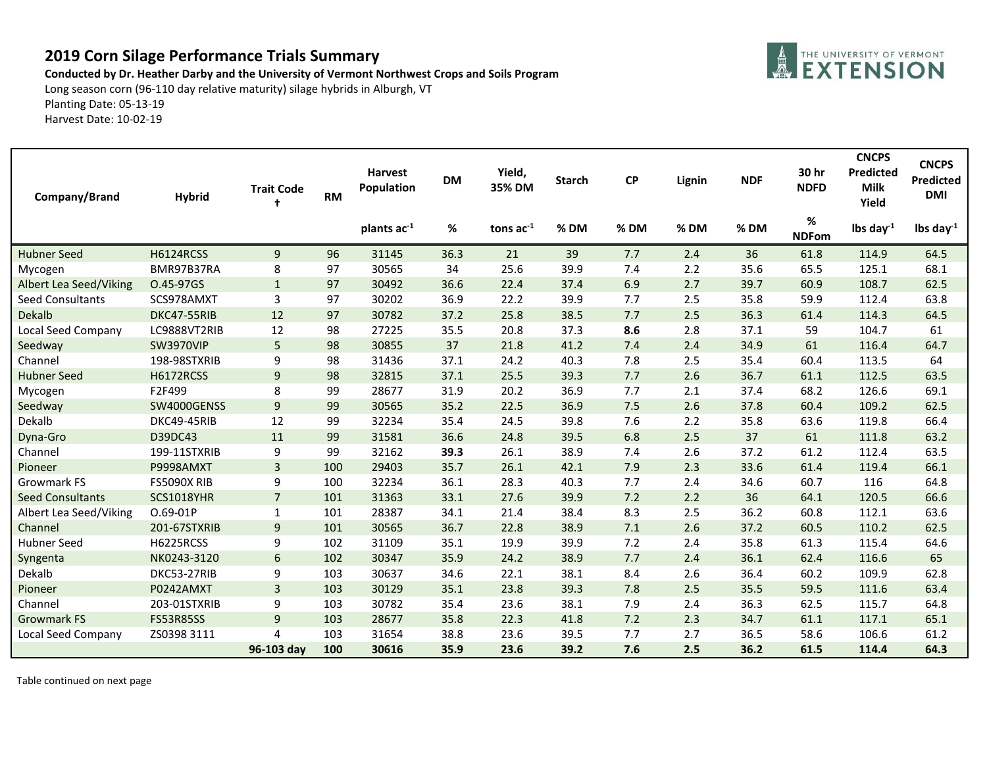## **2019 Corn Silage Performance Trials Summary**

**Conducted by Dr. Heather Darby and the University of Vermont Northwest Crops and Soils Program**

Long season corn (96-110 day relative maturity) silage hybrids in Alburgh, VT Planting Date: 05-13-19 Harvest Date: 10-02-19

| Company/Brand           | <b>Hybrid</b>      | <b>Trait Code</b><br>t | <b>RM</b> | <b>Harvest</b><br>Population | <b>DM</b> | Yield,<br>35% DM | <b>Starch</b> | <b>CP</b> | Lignin | <b>NDF</b> | 30 hr<br><b>NDFD</b> | <b>CNCPS</b><br>Predicted<br><b>Milk</b><br>Yield | <b>CNCPS</b><br><b>Predicted</b><br><b>DMI</b> |
|-------------------------|--------------------|------------------------|-----------|------------------------------|-----------|------------------|---------------|-----------|--------|------------|----------------------|---------------------------------------------------|------------------------------------------------|
|                         |                    |                        |           | plants ac-1                  | %         | tons $ac^{-1}$   | % DM          | %DM       | % DM   | % DM       | %<br><b>NDFom</b>    | lbs day $^{-1}$                                   | lbs day $^{-1}$                                |
| <b>Hubner Seed</b>      | <b>H6124RCSS</b>   | 9                      | 96        | 31145                        | 36.3      | 21               | 39            | 7.7       | 2.4    | 36         | 61.8                 | 114.9                                             | 64.5                                           |
| Mycogen                 | BMR97B37RA         | 8                      | 97        | 30565                        | 34        | 25.6             | 39.9          | 7.4       | 2.2    | 35.6       | 65.5                 | 125.1                                             | 68.1                                           |
| Albert Lea Seed/Viking  | O.45-97GS          | $\mathbf{1}$           | 97        | 30492                        | 36.6      | 22.4             | 37.4          | 6.9       | 2.7    | 39.7       | 60.9                 | 108.7                                             | 62.5                                           |
| <b>Seed Consultants</b> | SCS978AMXT         | 3                      | 97        | 30202                        | 36.9      | 22.2             | 39.9          | 7.7       | 2.5    | 35.8       | 59.9                 | 112.4                                             | 63.8                                           |
| Dekalb                  | DKC47-55RIB        | 12                     | 97        | 30782                        | 37.2      | 25.8             | 38.5          | 7.7       | 2.5    | 36.3       | 61.4                 | 114.3                                             | 64.5                                           |
| Local Seed Company      | LC9888VT2RIB       | 12                     | 98        | 27225                        | 35.5      | 20.8             | 37.3          | 8.6       | 2.8    | 37.1       | 59                   | 104.7                                             | 61                                             |
| Seedway                 | <b>SW3970VIP</b>   | 5                      | 98        | 30855                        | 37        | 21.8             | 41.2          | 7.4       | 2.4    | 34.9       | 61                   | 116.4                                             | 64.7                                           |
| Channel                 | 198-98STXRIB       | 9                      | 98        | 31436                        | 37.1      | 24.2             | 40.3          | 7.8       | 2.5    | 35.4       | 60.4                 | 113.5                                             | 64                                             |
| <b>Hubner Seed</b>      | <b>H6172RCSS</b>   | 9                      | 98        | 32815                        | 37.1      | 25.5             | 39.3          | 7.7       | 2.6    | 36.7       | 61.1                 | 112.5                                             | 63.5                                           |
| Mycogen                 | F2F499             | 8                      | 99        | 28677                        | 31.9      | 20.2             | 36.9          | 7.7       | 2.1    | 37.4       | 68.2                 | 126.6                                             | 69.1                                           |
| Seedway                 | SW4000GENSS        | 9                      | 99        | 30565                        | 35.2      | 22.5             | 36.9          | 7.5       | 2.6    | 37.8       | 60.4                 | 109.2                                             | 62.5                                           |
| Dekalb                  | DKC49-45RIB        | 12                     | 99        | 32234                        | 35.4      | 24.5             | 39.8          | 7.6       | 2.2    | 35.8       | 63.6                 | 119.8                                             | 66.4                                           |
| Dyna-Gro                | D39DC43            | 11                     | 99        | 31581                        | 36.6      | 24.8             | 39.5          | 6.8       | 2.5    | 37         | 61                   | 111.8                                             | 63.2                                           |
| Channel                 | 199-11STXRIB       | 9                      | 99        | 32162                        | 39.3      | 26.1             | 38.9          | 7.4       | 2.6    | 37.2       | 61.2                 | 112.4                                             | 63.5                                           |
| Pioneer                 | P9998AMXT          | 3                      | 100       | 29403                        | 35.7      | 26.1             | 42.1          | 7.9       | 2.3    | 33.6       | 61.4                 | 119.4                                             | 66.1                                           |
| Growmark FS             | <b>FS5090X RIB</b> | 9                      | 100       | 32234                        | 36.1      | 28.3             | 40.3          | 7.7       | 2.4    | 34.6       | 60.7                 | 116                                               | 64.8                                           |
| <b>Seed Consultants</b> | <b>SCS1018YHR</b>  | $\overline{7}$         | 101       | 31363                        | 33.1      | 27.6             | 39.9          | 7.2       | 2.2    | 36         | 64.1                 | 120.5                                             | 66.6                                           |
| Albert Lea Seed/Viking  | O.69-01P           | 1                      | 101       | 28387                        | 34.1      | 21.4             | 38.4          | 8.3       | 2.5    | 36.2       | 60.8                 | 112.1                                             | 63.6                                           |
| Channel                 | 201-67STXRIB       | 9                      | 101       | 30565                        | 36.7      | 22.8             | 38.9          | 7.1       | 2.6    | 37.2       | 60.5                 | 110.2                                             | 62.5                                           |
| <b>Hubner Seed</b>      | H6225RCSS          | 9                      | 102       | 31109                        | 35.1      | 19.9             | 39.9          | 7.2       | 2.4    | 35.8       | 61.3                 | 115.4                                             | 64.6                                           |
| Syngenta                | NK0243-3120        | 6                      | 102       | 30347                        | 35.9      | 24.2             | 38.9          | 7.7       | 2.4    | 36.1       | 62.4                 | 116.6                                             | 65                                             |
| Dekalb                  | DKC53-27RIB        | 9                      | 103       | 30637                        | 34.6      | 22.1             | 38.1          | 8.4       | 2.6    | 36.4       | 60.2                 | 109.9                                             | 62.8                                           |
| Pioneer                 | P0242AMXT          | 3                      | 103       | 30129                        | 35.1      | 23.8             | 39.3          | 7.8       | 2.5    | 35.5       | 59.5                 | 111.6                                             | 63.4                                           |
| Channel                 | 203-01STXRIB       | 9                      | 103       | 30782                        | 35.4      | 23.6             | 38.1          | 7.9       | 2.4    | 36.3       | 62.5                 | 115.7                                             | 64.8                                           |
| <b>Growmark FS</b>      | <b>FS53R85SS</b>   | 9                      | 103       | 28677                        | 35.8      | 22.3             | 41.8          | 7.2       | 2.3    | 34.7       | 61.1                 | 117.1                                             | 65.1                                           |
| Local Seed Company      | ZS0398 3111        | 4                      | 103       | 31654                        | 38.8      | 23.6             | 39.5          | 7.7       | 2.7    | 36.5       | 58.6                 | 106.6                                             | 61.2                                           |
|                         |                    | 96-103 day             | 100       | 30616                        | 35.9      | 23.6             | 39.2          | 7.6       | 2.5    | 36.2       | 61.5                 | 114.4                                             | 64.3                                           |

Table continued on next page

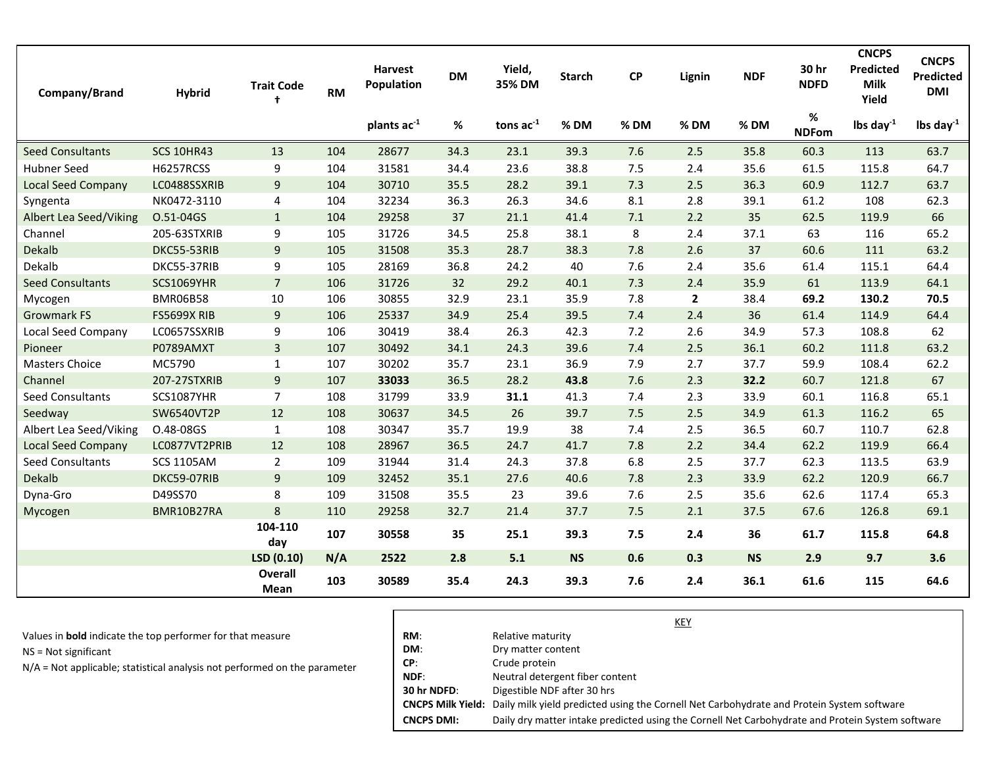| Company/Brand             | <b>Hybrid</b>      | <b>Trait Code</b><br>$\ddot{\phantom{1}}$ | <b>RM</b> | <b>Harvest</b><br>Population | <b>DM</b> | Yield,<br>35% DM | <b>Starch</b> | $\mathsf{C}\mathsf{P}$ | Lignin       | <b>NDF</b> | 30 hr<br><b>NDFD</b> | <b>CNCPS</b><br><b>Predicted</b><br><b>Milk</b><br>Yield | <b>CNCPS</b><br><b>Predicted</b><br><b>DMI</b> |
|---------------------------|--------------------|-------------------------------------------|-----------|------------------------------|-----------|------------------|---------------|------------------------|--------------|------------|----------------------|----------------------------------------------------------|------------------------------------------------|
|                           |                    |                                           |           | plants ac <sup>-1</sup>      | %         | tons $ac^{-1}$   | %DM           | % DM                   | % DM         | % DM       | %<br><b>NDFom</b>    | lbs day $^{-1}$                                          | lbs day $^{-1}$                                |
| <b>Seed Consultants</b>   | <b>SCS 10HR43</b>  | 13                                        | 104       | 28677                        | 34.3      | 23.1             | 39.3          | 7.6                    | 2.5          | 35.8       | 60.3                 | 113                                                      | 63.7                                           |
| <b>Hubner Seed</b>        | <b>H6257RCSS</b>   | 9                                         | 104       | 31581                        | 34.4      | 23.6             | 38.8          | 7.5                    | 2.4          | 35.6       | 61.5                 | 115.8                                                    | 64.7                                           |
| <b>Local Seed Company</b> | LC0488SSXRIB       | 9                                         | 104       | 30710                        | 35.5      | 28.2             | 39.1          | 7.3                    | 2.5          | 36.3       | 60.9                 | 112.7                                                    | 63.7                                           |
| Syngenta                  | NK0472-3110        | 4                                         | 104       | 32234                        | 36.3      | 26.3             | 34.6          | 8.1                    | 2.8          | 39.1       | 61.2                 | 108                                                      | 62.3                                           |
| Albert Lea Seed/Viking    | O.51-04GS          | $\mathbf{1}$                              | 104       | 29258                        | 37        | 21.1             | 41.4          | 7.1                    | 2.2          | 35         | 62.5                 | 119.9                                                    | 66                                             |
| Channel                   | 205-63STXRIB       | 9                                         | 105       | 31726                        | 34.5      | 25.8             | 38.1          | 8                      | 2.4          | 37.1       | 63                   | 116                                                      | 65.2                                           |
| Dekalb                    | DKC55-53RIB        | $\overline{9}$                            | 105       | 31508                        | 35.3      | 28.7             | 38.3          | 7.8                    | 2.6          | 37         | 60.6                 | 111                                                      | 63.2                                           |
| Dekalb                    | DKC55-37RIB        | 9                                         | 105       | 28169                        | 36.8      | 24.2             | 40            | 7.6                    | 2.4          | 35.6       | 61.4                 | 115.1                                                    | 64.4                                           |
| <b>Seed Consultants</b>   | <b>SCS1069YHR</b>  | $\overline{7}$                            | 106       | 31726                        | 32        | 29.2             | 40.1          | 7.3                    | 2.4          | 35.9       | 61                   | 113.9                                                    | 64.1                                           |
| Mycogen                   | <b>BMR06B58</b>    | 10                                        | 106       | 30855                        | 32.9      | 23.1             | 35.9          | 7.8                    | $\mathbf{2}$ | 38.4       | 69.2                 | 130.2                                                    | 70.5                                           |
| <b>Growmark FS</b>        | <b>FS5699X RIB</b> | 9                                         | 106       | 25337                        | 34.9      | 25.4             | 39.5          | 7.4                    | 2.4          | 36         | 61.4                 | 114.9                                                    | 64.4                                           |
| <b>Local Seed Company</b> | LC0657SSXRIB       | 9                                         | 106       | 30419                        | 38.4      | 26.3             | 42.3          | 7.2                    | 2.6          | 34.9       | 57.3                 | 108.8                                                    | 62                                             |
| Pioneer                   | P0789AMXT          | $\overline{3}$                            | 107       | 30492                        | 34.1      | 24.3             | 39.6          | 7.4                    | 2.5          | 36.1       | 60.2                 | 111.8                                                    | 63.2                                           |
| <b>Masters Choice</b>     | MC5790             | $\mathbf{1}$                              | 107       | 30202                        | 35.7      | 23.1             | 36.9          | 7.9                    | 2.7          | 37.7       | 59.9                 | 108.4                                                    | 62.2                                           |
| Channel                   | 207-27STXRIB       | 9                                         | 107       | 33033                        | 36.5      | 28.2             | 43.8          | 7.6                    | 2.3          | 32.2       | 60.7                 | 121.8                                                    | 67                                             |
| <b>Seed Consultants</b>   | <b>SCS1087YHR</b>  | $\overline{7}$                            | 108       | 31799                        | 33.9      | 31.1             | 41.3          | 7.4                    | 2.3          | 33.9       | 60.1                 | 116.8                                                    | 65.1                                           |
| Seedway                   | SW6540VT2P         | 12                                        | 108       | 30637                        | 34.5      | 26               | 39.7          | 7.5                    | 2.5          | 34.9       | 61.3                 | 116.2                                                    | 65                                             |
| Albert Lea Seed/Viking    | O.48-08GS          | $\mathbf{1}$                              | 108       | 30347                        | 35.7      | 19.9             | 38            | 7.4                    | 2.5          | 36.5       | 60.7                 | 110.7                                                    | 62.8                                           |
| <b>Local Seed Company</b> | LC0877VT2PRIB      | 12                                        | 108       | 28967                        | 36.5      | 24.7             | 41.7          | 7.8                    | 2.2          | 34.4       | 62.2                 | 119.9                                                    | 66.4                                           |
| Seed Consultants          | <b>SCS 1105AM</b>  | $\overline{2}$                            | 109       | 31944                        | 31.4      | 24.3             | 37.8          | 6.8                    | 2.5          | 37.7       | 62.3                 | 113.5                                                    | 63.9                                           |
| Dekalb                    | DKC59-07RIB        | 9                                         | 109       | 32452                        | 35.1      | 27.6             | 40.6          | 7.8                    | 2.3          | 33.9       | 62.2                 | 120.9                                                    | 66.7                                           |
| Dyna-Gro                  | D49SS70            | 8                                         | 109       | 31508                        | 35.5      | 23               | 39.6          | 7.6                    | 2.5          | 35.6       | 62.6                 | 117.4                                                    | 65.3                                           |
| Mycogen                   | BMR10B27RA         | 8                                         | 110       | 29258                        | 32.7      | 21.4             | 37.7          | 7.5                    | 2.1          | 37.5       | 67.6                 | 126.8                                                    | 69.1                                           |
|                           |                    | 104-110<br>day                            | 107       | 30558                        | 35        | 25.1             | 39.3          | 7.5                    | 2.4          | 36         | 61.7                 | 115.8                                                    | 64.8                                           |
|                           |                    | LSD (0.10)                                | N/A       | 2522                         | 2.8       | 5.1              | <b>NS</b>     | 0.6                    | 0.3          | <b>NS</b>  | 2.9                  | 9.7                                                      | 3.6                                            |
|                           |                    | <b>Overall</b><br>Mean                    | 103       | 30589                        | 35.4      | 24.3             | 39.3          | 7.6                    | 2.4          | 36.1       | 61.6                 | 115                                                      | 64.6                                           |

| Values in <b>bold</b> indicate the top performer for that measure |  |
|-------------------------------------------------------------------|--|
|-------------------------------------------------------------------|--|

NS = Not significant

N/A = Not applicable; statistical analysis not performed on the parameter

|                   | KEY                                                                                                                |
|-------------------|--------------------------------------------------------------------------------------------------------------------|
| RM:               | Relative maturity                                                                                                  |
| DM:               | Dry matter content                                                                                                 |
| CP:               | Crude protein                                                                                                      |
| NDF:              | Neutral detergent fiber content                                                                                    |
| 30 hr NDFD:       | Digestible NDF after 30 hrs                                                                                        |
|                   | <b>CNCPS Milk Yield:</b> Daily milk yield predicted using the Cornell Net Carbohydrate and Protein System software |
| <b>CNCPS DMI:</b> | Daily dry matter intake predicted using the Cornell Net Carbohydrate and Protein System software                   |